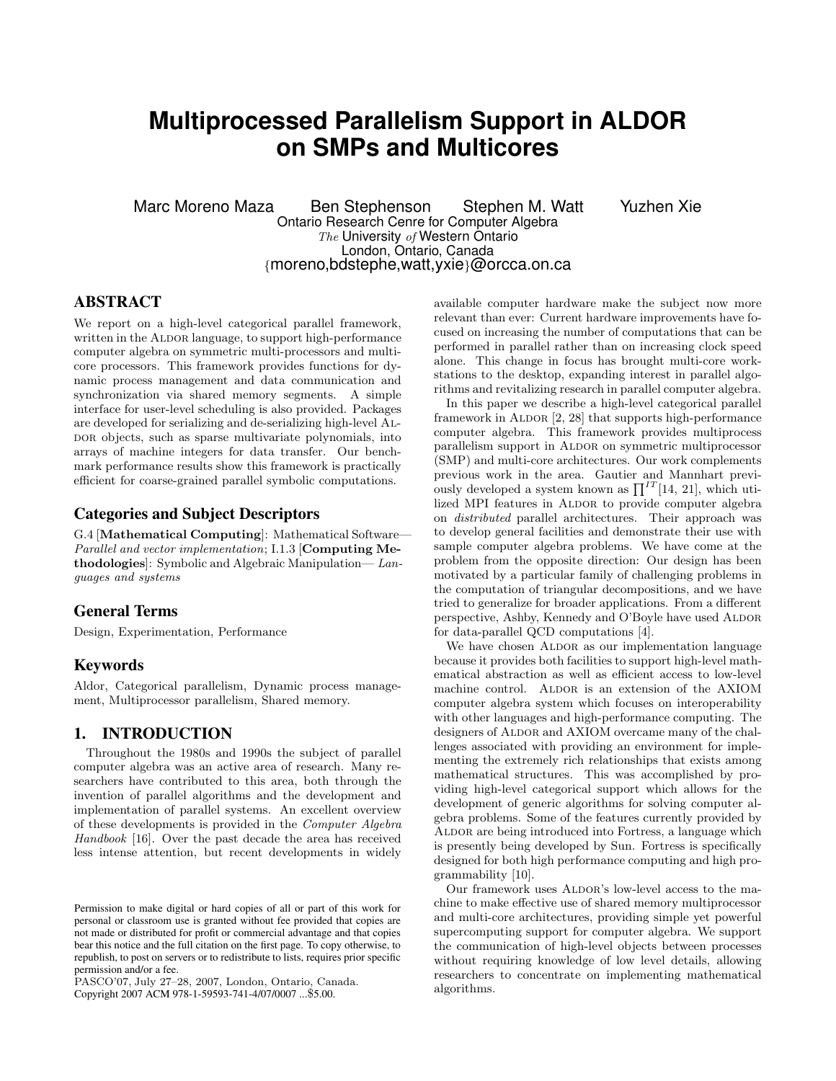# **Multiprocessed Parallelism Support in ALDOR on SMPs and Multicores**

Marc Moreno Maza Ben Stephenson Stephen M. Watt Yuzhen Xie Ontario Research Cenre for Computer Algebra The University of Western Ontario London, Ontario, Canada {moreno,bdstephe,watt,yxie}@orcca.on.ca

# ABSTRACT

We report on a high-level categorical parallel framework, written in the ALDOR language, to support high-performance computer algebra on symmetric multi-processors and multicore processors. This framework provides functions for dynamic process management and data communication and synchronization via shared memory segments. A simple interface for user-level scheduling is also provided. Packages are developed for serializing and de-serializing high-level Al-DOR objects, such as sparse multivariate polynomials, into arrays of machine integers for data transfer. Our benchmark performance results show this framework is practically efficient for coarse-grained parallel symbolic computations.

# Categories and Subject Descriptors

G.4 [Mathematical Computing]: Mathematical Software— Parallel and vector implementation; I.1.3 [Computing Methodologies]: Symbolic and Algebraic Manipulation— Languages and systems

# General Terms

Design, Experimentation, Performance

### Keywords

Aldor, Categorical parallelism, Dynamic process management, Multiprocessor parallelism, Shared memory.

# 1. INTRODUCTION

Throughout the 1980s and 1990s the subject of parallel computer algebra was an active area of research. Many researchers have contributed to this area, both through the invention of parallel algorithms and the development and implementation of parallel systems. An excellent overview of these developments is provided in the Computer Algebra Handbook [16]. Over the past decade the area has received less intense attention, but recent developments in widely

PASCO'07, July 27–28, 2007, London, Ontario, Canada. Copyright 2007 ACM 978-1-59593-741-4/07/0007 ...\$5.00.

available computer hardware make the subject now more relevant than ever: Current hardware improvements have focused on increasing the number of computations that can be performed in parallel rather than on increasing clock speed alone. This change in focus has brought multi-core workstations to the desktop, expanding interest in parallel algorithms and revitalizing research in parallel computer algebra.

In this paper we describe a high-level categorical parallel framework in ALDOR [2, 28] that supports high-performance computer algebra. This framework provides multiprocess parallelism support in ALDOR on symmetric multiprocessor (SMP) and multi-core architectures. Our work complements previous work in the area. Gautier and Mannhart previously developed a system known as  $\prod^{IT}[14, 21]$ , which utilized MPI features in ALDOR to provide computer algebra on distributed parallel architectures. Their approach was to develop general facilities and demonstrate their use with sample computer algebra problems. We have come at the problem from the opposite direction: Our design has been motivated by a particular family of challenging problems in the computation of triangular decompositions, and we have tried to generalize for broader applications. From a different perspective, Ashby, Kennedy and O'Boyle have used ALDOR for data-parallel QCD computations [4].

We have chosen ALDOR as our implementation language because it provides both facilities to support high-level mathematical abstraction as well as efficient access to low-level machine control. ALDOR is an extension of the AXIOM computer algebra system which focuses on interoperability with other languages and high-performance computing. The designers of ALDOR and AXIOM overcame many of the challenges associated with providing an environment for implementing the extremely rich relationships that exists among mathematical structures. This was accomplished by providing high-level categorical support which allows for the development of generic algorithms for solving computer algebra problems. Some of the features currently provided by ALDOR are being introduced into Fortress, a language which is presently being developed by Sun. Fortress is specifically designed for both high performance computing and high programmability [10].

Our framework uses ALDOR's low-level access to the machine to make effective use of shared memory multiprocessor and multi-core architectures, providing simple yet powerful supercomputing support for computer algebra. We support the communication of high-level objects between processes without requiring knowledge of low level details, allowing researchers to concentrate on implementing mathematical algorithms.

Permission to make digital or hard copies of all or part of this work for personal or classroom use is granted without fee provided that copies are not made or distributed for profit or commercial advantage and that copies bear this notice and the full citation on the first page. To copy otherwise, to republish, to post on servers or to redistribute to lists, requires prior specific permission and/or a fee.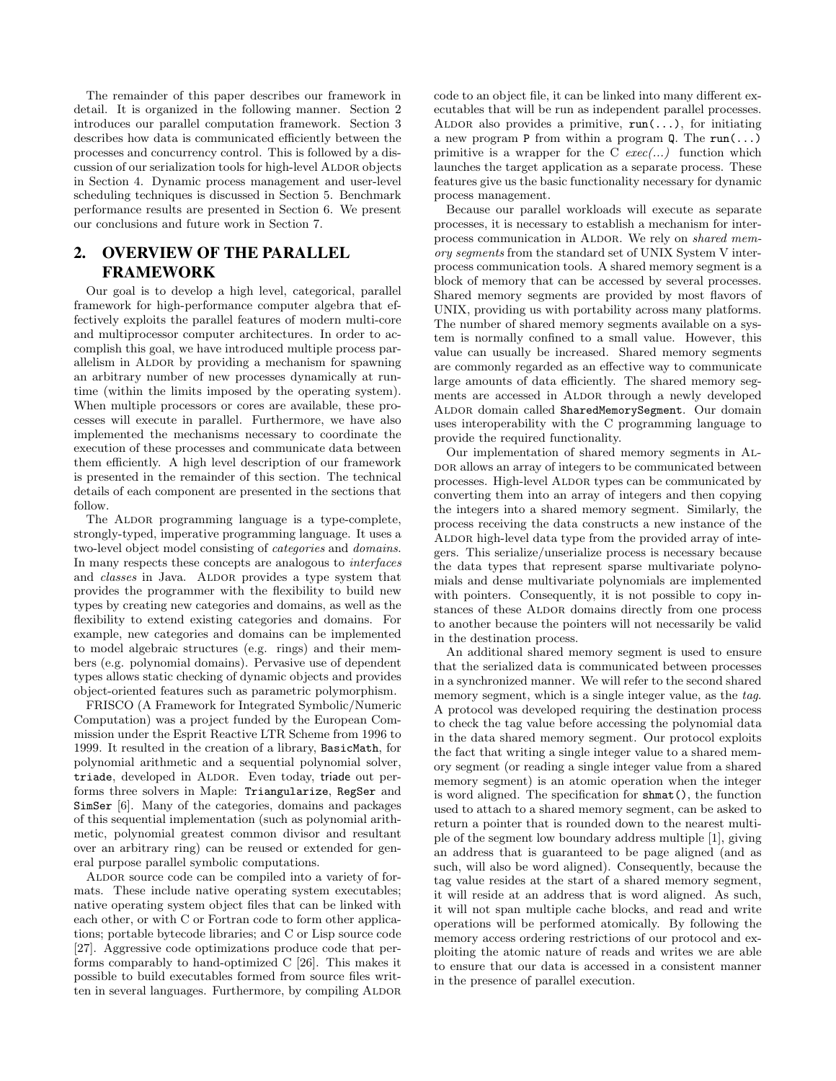The remainder of this paper describes our framework in detail. It is organized in the following manner. Section 2 introduces our parallel computation framework. Section 3 describes how data is communicated efficiently between the processes and concurrency control. This is followed by a discussion of our serialization tools for high-level ALDOR objects in Section 4. Dynamic process management and user-level scheduling techniques is discussed in Section 5. Benchmark performance results are presented in Section 6. We present our conclusions and future work in Section 7.

# 2. OVERVIEW OF THE PARALLEL FRAMEWORK

Our goal is to develop a high level, categorical, parallel framework for high-performance computer algebra that effectively exploits the parallel features of modern multi-core and multiprocessor computer architectures. In order to accomplish this goal, we have introduced multiple process parallelism in ALDOR by providing a mechanism for spawning an arbitrary number of new processes dynamically at runtime (within the limits imposed by the operating system). When multiple processors or cores are available, these processes will execute in parallel. Furthermore, we have also implemented the mechanisms necessary to coordinate the execution of these processes and communicate data between them efficiently. A high level description of our framework is presented in the remainder of this section. The technical details of each component are presented in the sections that follow.

The ALDOR programming language is a type-complete, strongly-typed, imperative programming language. It uses a two-level object model consisting of categories and domains. In many respects these concepts are analogous to interfaces and *classes* in Java. ALDOR provides a type system that provides the programmer with the flexibility to build new types by creating new categories and domains, as well as the flexibility to extend existing categories and domains. For example, new categories and domains can be implemented to model algebraic structures (e.g. rings) and their members (e.g. polynomial domains). Pervasive use of dependent types allows static checking of dynamic objects and provides object-oriented features such as parametric polymorphism.

FRISCO (A Framework for Integrated Symbolic/Numeric Computation) was a project funded by the European Commission under the Esprit Reactive LTR Scheme from 1996 to 1999. It resulted in the creation of a library, BasicMath, for polynomial arithmetic and a sequential polynomial solver, triade, developed in ALDOR. Even today, triade out performs three solvers in Maple: Triangularize, RegSer and SimSer [6]. Many of the categories, domains and packages of this sequential implementation (such as polynomial arithmetic, polynomial greatest common divisor and resultant over an arbitrary ring) can be reused or extended for general purpose parallel symbolic computations.

ALDOR source code can be compiled into a variety of formats. These include native operating system executables; native operating system object files that can be linked with each other, or with C or Fortran code to form other applications; portable bytecode libraries; and C or Lisp source code [27]. Aggressive code optimizations produce code that performs comparably to hand-optimized C [26]. This makes it possible to build executables formed from source files written in several languages. Furthermore, by compiling ALDOR code to an object file, it can be linked into many different executables that will be run as independent parallel processes. ALDOR also provides a primitive,  $run(\ldots)$ , for initiating a new program P from within a program  $Q$ . The run(...) primitive is a wrapper for the C  $exec(...)$  function which launches the target application as a separate process. These features give us the basic functionality necessary for dynamic process management.

Because our parallel workloads will execute as separate processes, it is necessary to establish a mechanism for interprocess communication in ALDOR. We rely on shared memory segments from the standard set of UNIX System V interprocess communication tools. A shared memory segment is a block of memory that can be accessed by several processes. Shared memory segments are provided by most flavors of UNIX, providing us with portability across many platforms. The number of shared memory segments available on a system is normally confined to a small value. However, this value can usually be increased. Shared memory segments are commonly regarded as an effective way to communicate large amounts of data efficiently. The shared memory segments are accessed in ALDOR through a newly developed ALDOR domain called SharedMemorySegment. Our domain uses interoperability with the C programming language to provide the required functionality.

Our implementation of shared memory segments in Al-DOR allows an array of integers to be communicated between processes. High-level ALDOR types can be communicated by converting them into an array of integers and then copying the integers into a shared memory segment. Similarly, the process receiving the data constructs a new instance of the ALDOR high-level data type from the provided array of integers. This serialize/unserialize process is necessary because the data types that represent sparse multivariate polynomials and dense multivariate polynomials are implemented with pointers. Consequently, it is not possible to copy instances of these ALDOR domains directly from one process to another because the pointers will not necessarily be valid in the destination process.

An additional shared memory segment is used to ensure that the serialized data is communicated between processes in a synchronized manner. We will refer to the second shared memory segment, which is a single integer value, as the tag. A protocol was developed requiring the destination process to check the tag value before accessing the polynomial data in the data shared memory segment. Our protocol exploits the fact that writing a single integer value to a shared memory segment (or reading a single integer value from a shared memory segment) is an atomic operation when the integer is word aligned. The specification for shmat(), the function used to attach to a shared memory segment, can be asked to return a pointer that is rounded down to the nearest multiple of the segment low boundary address multiple [1], giving an address that is guaranteed to be page aligned (and as such, will also be word aligned). Consequently, because the tag value resides at the start of a shared memory segment, it will reside at an address that is word aligned. As such, it will not span multiple cache blocks, and read and write operations will be performed atomically. By following the memory access ordering restrictions of our protocol and exploiting the atomic nature of reads and writes we are able to ensure that our data is accessed in a consistent manner in the presence of parallel execution.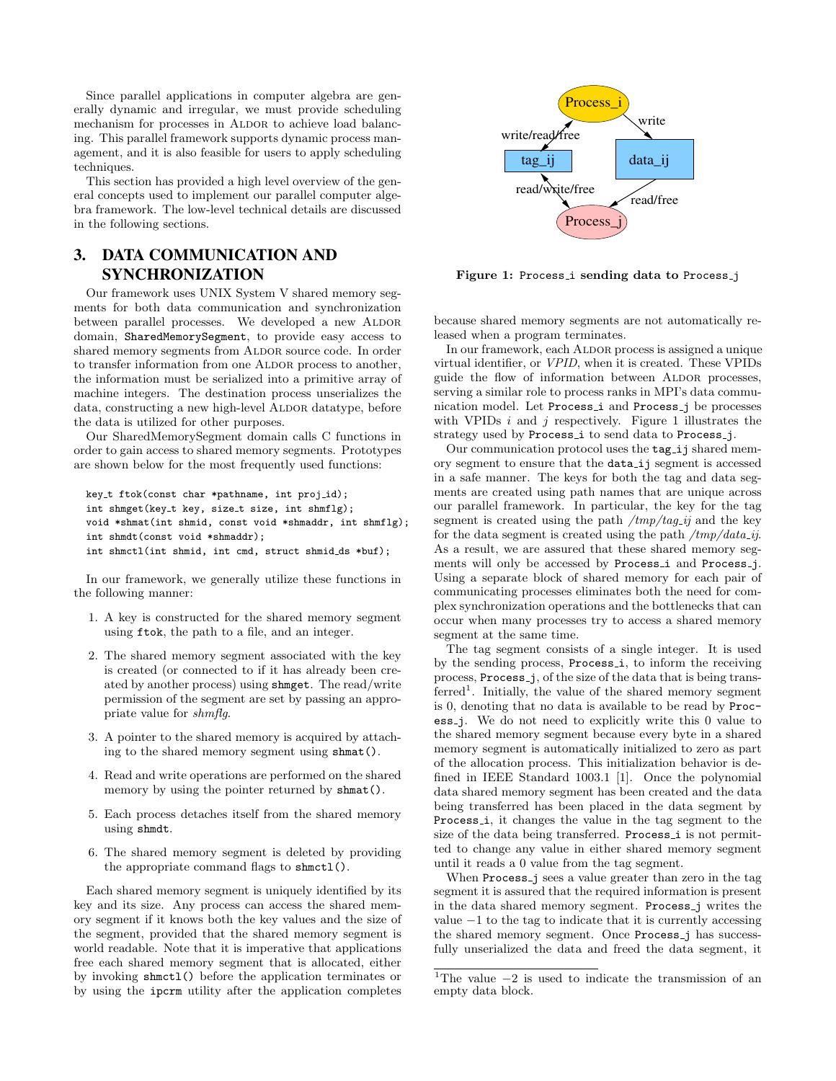Since parallel applications in computer algebra are generally dynamic and irregular, we must provide scheduling mechanism for processes in ALDOR to achieve load balancing. This parallel framework supports dynamic process management, and it is also feasible for users to apply scheduling techniques.

This section has provided a high level overview of the general concepts used to implement our parallel computer algebra framework. The low-level technical details are discussed in the following sections.

# 3. DATA COMMUNICATION AND SYNCHRONIZATION

Our framework uses UNIX System V shared memory segments for both data communication and synchronization between parallel processes. We developed a new ALDOR domain, SharedMemorySegment, to provide easy access to shared memory segments from ALDOR source code. In order to transfer information from one ALDOR process to another, the information must be serialized into a primitive array of machine integers. The destination process unserializes the data, constructing a new high-level ALDOR datatype, before the data is utilized for other purposes.

Our SharedMemorySegment domain calls C functions in order to gain access to shared memory segments. Prototypes are shown below for the most frequently used functions:

```
key_t ftok(const char *pathname, int proj_id);
int shmget(key_t key, size_t size, int shmflg);
void *shmat(int shmid, const void *shmaddr, int shmflg);
int shmdt(const void *shmaddr);
int shmctl(int shmid, int cmd, struct shmid_ds *buf);
```
In our framework, we generally utilize these functions in the following manner:

- 1. A key is constructed for the shared memory segment using ftok, the path to a file, and an integer.
- 2. The shared memory segment associated with the key is created (or connected to if it has already been created by another process) using shmget. The read/write permission of the segment are set by passing an appropriate value for shmflg.
- 3. A pointer to the shared memory is acquired by attaching to the shared memory segment using shmat().
- 4. Read and write operations are performed on the shared memory by using the pointer returned by shmat().
- 5. Each process detaches itself from the shared memory using shmdt.
- 6. The shared memory segment is deleted by providing the appropriate command flags to shmctl().

Each shared memory segment is uniquely identified by its key and its size. Any process can access the shared memory segment if it knows both the key values and the size of the segment, provided that the shared memory segment is world readable. Note that it is imperative that applications free each shared memory segment that is allocated, either by invoking shmctl() before the application terminates or by using the ipcrm utility after the application completes



Figure 1: Process i sending data to Process j

because shared memory segments are not automatically released when a program terminates.

In our framework, each ALDOR process is assigned a unique virtual identifier, or VPID, when it is created. These VPIDs guide the flow of information between ALDOR processes, serving a similar role to process ranks in MPI's data communication model. Let Process i and Process j be processes with VPIDs  $i$  and  $j$  respectively. Figure 1 illustrates the strategy used by Process<sub>i</sub> to send data to Process<sub>-</sub>j.

Our communication protocol uses the tag\_ij shared memory segment to ensure that the data ij segment is accessed in a safe manner. The keys for both the tag and data segments are created using path names that are unique across our parallel framework. In particular, the key for the tag segment is created using the path  $\langle tmp/tag_{ij} \rangle$  and the key for the data segment is created using the path  $\frac{1}{mp}\frac{1}{data}$ . As a result, we are assured that these shared memory segments will only be accessed by Process<sub>i</sub> and Process<sub>-</sub>j. Using a separate block of shared memory for each pair of communicating processes eliminates both the need for complex synchronization operations and the bottlenecks that can occur when many processes try to access a shared memory segment at the same time.

The tag segment consists of a single integer. It is used by the sending process, Process i, to inform the receiving process, Process j, of the size of the data that is being transferred<sup>1</sup>. Initially, the value of the shared memory segment is 0, denoting that no data is available to be read by Process j. We do not need to explicitly write this 0 value to the shared memory segment because every byte in a shared memory segment is automatically initialized to zero as part of the allocation process. This initialization behavior is defined in IEEE Standard 1003.1 [1]. Once the polynomial data shared memory segment has been created and the data being transferred has been placed in the data segment by Process i, it changes the value in the tag segment to the size of the data being transferred. Process<sub>i</sub> is not permitted to change any value in either shared memory segment until it reads a 0 value from the tag segment.

When Process<sub>-</sub>j sees a value greater than zero in the tag segment it is assured that the required information is present in the data shared memory segment. Process<sub>-</sub>j writes the value  $−1$  to the tag to indicate that it is currently accessing the shared memory segment. Once Process<sub>-j</sub> has successfully unserialized the data and freed the data segment, it

<sup>&</sup>lt;sup>1</sup>The value  $-2$  is used to indicate the transmission of an empty data block.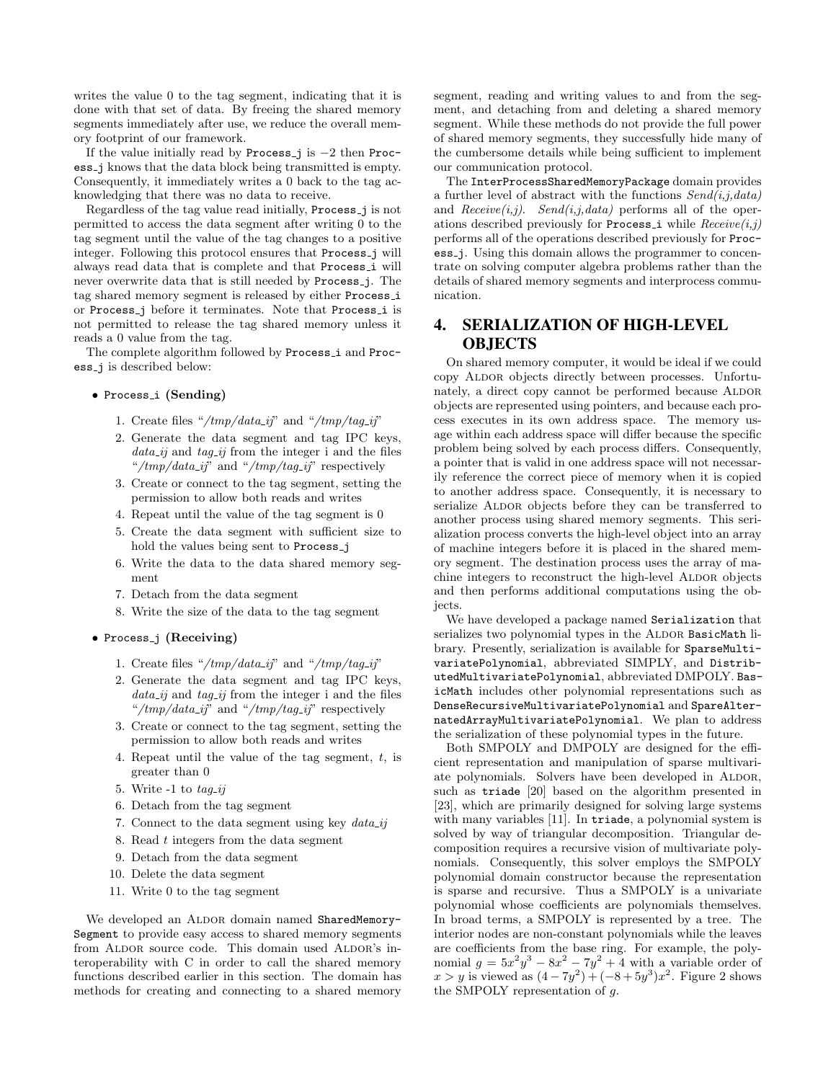writes the value 0 to the tag segment, indicating that it is done with that set of data. By freeing the shared memory segments immediately after use, we reduce the overall memory footprint of our framework.

If the value initially read by Process<sub>-</sub>j is  $-2$  then Process j knows that the data block being transmitted is empty. Consequently, it immediately writes a 0 back to the tag acknowledging that there was no data to receive.

Regardless of the tag value read initially, Process j is not permitted to access the data segment after writing 0 to the tag segment until the value of the tag changes to a positive integer. Following this protocol ensures that Process<sub>-</sub>j will always read data that is complete and that Process i will never overwrite data that is still needed by Process j. The tag shared memory segment is released by either Process i or Process j before it terminates. Note that Process i is not permitted to release the tag shared memory unless it reads a 0 value from the tag.

The complete algorithm followed by Process i and Process<sub>-j</sub> is described below:

#### • Process i (Sending)

- 1. Create files "/tmp/data\_ij" and "/tmp/tag\_ij"
- 2. Generate the data segment and tag IPC keys,  $data_{ij}$  and  $tag_{ij}$  from the integer i and the files "/ $tmp/data_i j$ " and "/ $tmp/tag_i j$ " respectively
- 3. Create or connect to the tag segment, setting the permission to allow both reads and writes
- 4. Repeat until the value of the tag segment is 0
- 5. Create the data segment with sufficient size to hold the values being sent to Process j
- 6. Write the data to the data shared memory segment
- 7. Detach from the data segment
- 8. Write the size of the data to the tag segment

#### • Process j (Receiving)

- 1. Create files "/tmp/data\_ij" and "/tmp/tag\_ij"
- 2. Generate the data segment and tag IPC keys,  $data_{ij}$  and  $tag_{ij}$  from the integer i and the files "/ $tmp/data_i\ddot{j}$ " and "/ $tmp/tag_i\ddot{j}$ " respectively
- 3. Create or connect to the tag segment, setting the permission to allow both reads and writes
- 4. Repeat until the value of the tag segment,  $t$ , is greater than 0
- 5. Write -1 to  $tag_{ij}$
- 6. Detach from the tag segment
- 7. Connect to the data segment using key data ij
- 8. Read  $t$  integers from the data segment
- 9. Detach from the data segment
- 10. Delete the data segment
- 11. Write 0 to the tag segment

We developed an ALDOR domain named SharedMemory-Segment to provide easy access to shared memory segments from ALDOR source code. This domain used ALDOR's interoperability with C in order to call the shared memory functions described earlier in this section. The domain has methods for creating and connecting to a shared memory segment, reading and writing values to and from the segment, and detaching from and deleting a shared memory segment. While these methods do not provide the full power of shared memory segments, they successfully hide many of the cumbersome details while being sufficient to implement our communication protocol.

The InterProcessSharedMemoryPackage domain provides a further level of abstract with the functions  $Send(i,j,data)$ and  $Receive(i,j)$ .  $Send(i,j,data)$  performs all of the operations described previously for Process<sub>-1</sub> while  $Receive(i,j)$ performs all of the operations described previously for Process j. Using this domain allows the programmer to concentrate on solving computer algebra problems rather than the details of shared memory segments and interprocess communication.

# 4. SERIALIZATION OF HIGH-LEVEL **OBJECTS**

On shared memory computer, it would be ideal if we could copy ALDOR objects directly between processes. Unfortunately, a direct copy cannot be performed because ALDOR objects are represented using pointers, and because each process executes in its own address space. The memory usage within each address space will differ because the specific problem being solved by each process differs. Consequently, a pointer that is valid in one address space will not necessarily reference the correct piece of memory when it is copied to another address space. Consequently, it is necessary to serialize ALDOR objects before they can be transferred to another process using shared memory segments. This serialization process converts the high-level object into an array of machine integers before it is placed in the shared memory segment. The destination process uses the array of machine integers to reconstruct the high-level ALDOR objects and then performs additional computations using the objects.

We have developed a package named Serialization that serializes two polynomial types in the ALDOR BasicMath library. Presently, serialization is available for SparseMultivariatePolynomial, abbreviated SIMPLY, and DistributedMultivariatePolynomial, abbreviated DMPOLY. BasicMath includes other polynomial representations such as DenseRecursiveMultivariatePolynomial and SpareAlternatedArrayMultivariatePolynomial. We plan to address the serialization of these polynomial types in the future.

Both SMPOLY and DMPOLY are designed for the efficient representation and manipulation of sparse multivariate polynomials. Solvers have been developed in ALDOR, such as triade [20] based on the algorithm presented in [23], which are primarily designed for solving large systems with many variables [11]. In triade, a polynomial system is solved by way of triangular decomposition. Triangular decomposition requires a recursive vision of multivariate polynomials. Consequently, this solver employs the SMPOLY polynomial domain constructor because the representation is sparse and recursive. Thus a SMPOLY is a univariate polynomial whose coefficients are polynomials themselves. In broad terms, a SMPOLY is represented by a tree. The interior nodes are non-constant polynomials while the leaves are coefficients from the base ring. For example, the polynomial  $g = 5x^2y^3 - 8x^2 - 7y^2 + 4$  with a variable order of  $x > y$  is viewed as  $(4 - 7y^2) + (-8 + 5y^3)x^2$ . Figure 2 shows the SMPOLY representation of  $g$ .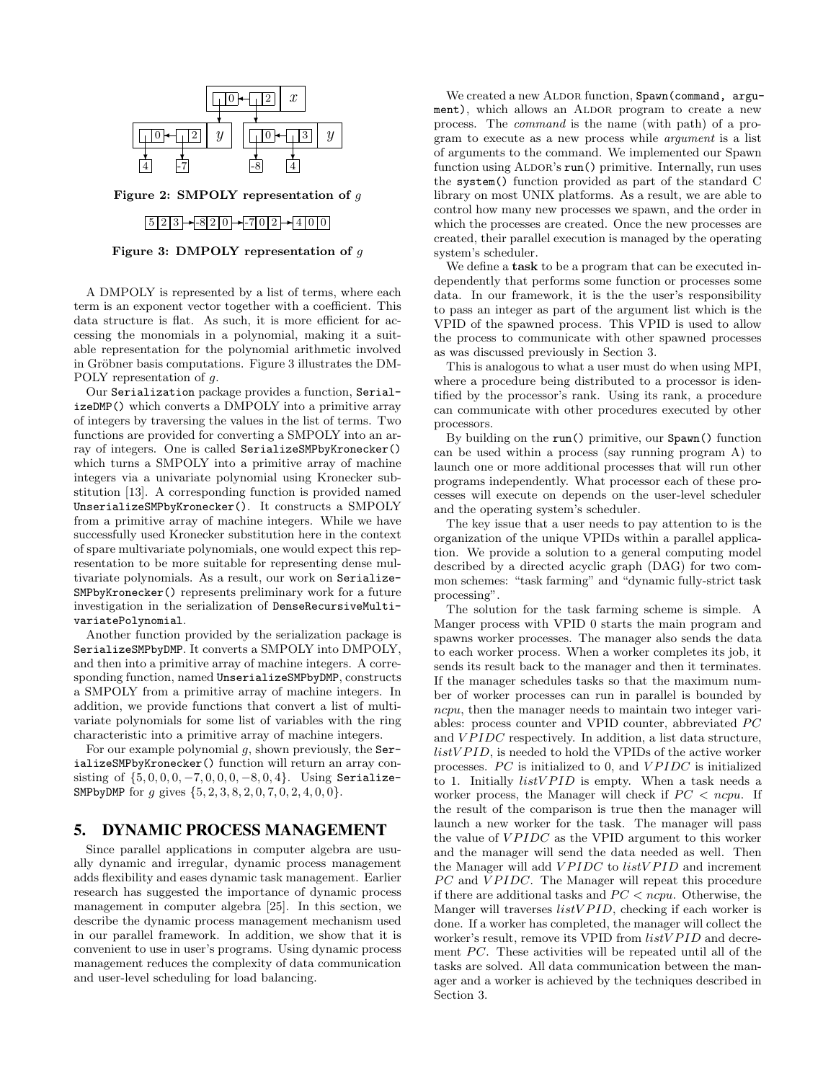

Figure 2: SMPOLY representation of  $q$ 

## $5 \mid 2 \mid 3 \rightarrow 8 \mid 2 \mid 0 \rightarrow 7 \mid 0 \mid 2 \rightarrow 4 \mid 0 \mid 0$

#### Figure 3: DMPOLY representation of  $q$

A DMPOLY is represented by a list of terms, where each term is an exponent vector together with a coefficient. This data structure is flat. As such, it is more efficient for accessing the monomials in a polynomial, making it a suitable representation for the polynomial arithmetic involved in Gröbner basis computations. Figure 3 illustrates the DM-POLY representation of g.

Our Serialization package provides a function, SerializeDMP() which converts a DMPOLY into a primitive array of integers by traversing the values in the list of terms. Two functions are provided for converting a SMPOLY into an array of integers. One is called SerializeSMPbyKronecker() which turns a SMPOLY into a primitive array of machine integers via a univariate polynomial using Kronecker substitution [13]. A corresponding function is provided named UnserializeSMPbyKronecker(). It constructs a SMPOLY from a primitive array of machine integers. While we have successfully used Kronecker substitution here in the context of spare multivariate polynomials, one would expect this representation to be more suitable for representing dense multivariate polynomials. As a result, our work on Serialize-SMPbyKronecker() represents preliminary work for a future investigation in the serialization of DenseRecursiveMultivariatePolynomial.

Another function provided by the serialization package is SerializeSMPbyDMP. It converts a SMPOLY into DMPOLY, and then into a primitive array of machine integers. A corresponding function, named UnserializeSMPbyDMP, constructs a SMPOLY from a primitive array of machine integers. In addition, we provide functions that convert a list of multivariate polynomials for some list of variables with the ring characteristic into a primitive array of machine integers.

For our example polynomial  $q$ , shown previously, the SerializeSMPbyKronecker() function will return an array consisting of  $\{5, 0, 0, 0, -7, 0, 0, 0, -8, 0, 4\}$ . Using Serialize-SMPbyDMP for g gives  $\{5, 2, 3, 8, 2, 0, 7, 0, 2, 4, 0, 0\}.$ 

# 5. DYNAMIC PROCESS MANAGEMENT

Since parallel applications in computer algebra are usually dynamic and irregular, dynamic process management adds flexibility and eases dynamic task management. Earlier research has suggested the importance of dynamic process management in computer algebra [25]. In this section, we describe the dynamic process management mechanism used in our parallel framework. In addition, we show that it is convenient to use in user's programs. Using dynamic process management reduces the complexity of data communication and user-level scheduling for load balancing.

We created a new ALDOR function, Spawn(command, argument), which allows an ALDOR program to create a new process. The command is the name (with path) of a program to execute as a new process while argument is a list of arguments to the command. We implemented our Spawn function using ALDOR's run() primitive. Internally, run uses the system() function provided as part of the standard C library on most UNIX platforms. As a result, we are able to control how many new processes we spawn, and the order in which the processes are created. Once the new processes are created, their parallel execution is managed by the operating system's scheduler.

We define a **task** to be a program that can be executed independently that performs some function or processes some data. In our framework, it is the the user's responsibility to pass an integer as part of the argument list which is the VPID of the spawned process. This VPID is used to allow the process to communicate with other spawned processes as was discussed previously in Section 3.

This is analogous to what a user must do when using MPI, where a procedure being distributed to a processor is identified by the processor's rank. Using its rank, a procedure can communicate with other procedures executed by other processors.

By building on the run() primitive, our Spawn() function can be used within a process (say running program A) to launch one or more additional processes that will run other programs independently. What processor each of these processes will execute on depends on the user-level scheduler and the operating system's scheduler.

The key issue that a user needs to pay attention to is the organization of the unique VPIDs within a parallel application. We provide a solution to a general computing model described by a directed acyclic graph (DAG) for two common schemes: "task farming" and "dynamic fully-strict task processing".

The solution for the task farming scheme is simple. A Manger process with VPID 0 starts the main program and spawns worker processes. The manager also sends the data to each worker process. When a worker completes its job, it sends its result back to the manager and then it terminates. If the manager schedules tasks so that the maximum number of worker processes can run in parallel is bounded by ncpu, then the manager needs to maintain two integer variables: process counter and VPID counter, abbreviated  $PC$ and  $VPIDC$  respectively. In addition, a list data structure,  $listVPID$ , is needed to hold the VPIDs of the active worker processes.  $\overline{PC}$  is initialized to 0, and  $VPIDC$  is initialized to 1. Initially  $listVPID$  is empty. When a task needs a worker process, the Manager will check if  $PC < ncpu$ . If the result of the comparison is true then the manager will launch a new worker for the task. The manager will pass the value of  $VPIDC$  as the VPID argument to this worker and the manager will send the data needed as well. Then the Manager will add  $VPIDC$  to  $listVPID$  and increment  $PC$  and  $VPIDC$ . The Manager will repeat this procedure if there are additional tasks and  $PC < ncpu$ . Otherwise, the Manger will traverses  $listVPID$ , checking if each worker is done. If a worker has completed, the manager will collect the worker's result, remove its VPID from  $listVPID$  and decrement  $PC$ . These activities will be repeated until all of the tasks are solved. All data communication between the manager and a worker is achieved by the techniques described in Section 3.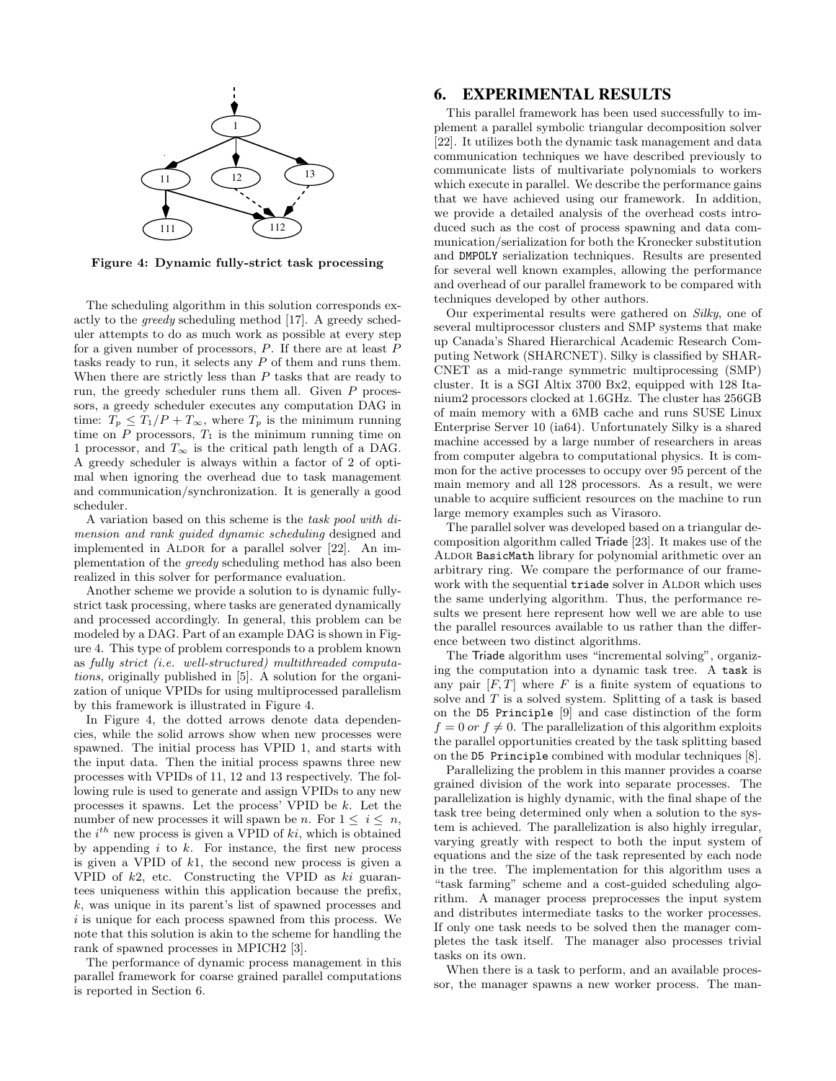

Figure 4: Dynamic fully-strict task processing

The scheduling algorithm in this solution corresponds exactly to the greedy scheduling method [17]. A greedy scheduler attempts to do as much work as possible at every step for a given number of processors, P. If there are at least P tasks ready to run, it selects any P of them and runs them. When there are strictly less than  $P$  tasks that are ready to run, the greedy scheduler runs them all. Given P processors, a greedy scheduler executes any computation DAG in time:  $T_p \leq T_1/P + T_{\infty}$ , where  $T_p$  is the minimum running time on  $P$  processors,  $T_1$  is the minimum running time on 1 processor, and  $T_{\infty}$  is the critical path length of a DAG. A greedy scheduler is always within a factor of 2 of optimal when ignoring the overhead due to task management and communication/synchronization. It is generally a good scheduler.

A variation based on this scheme is the task pool with dimension and rank guided dynamic scheduling designed and implemented in ALDOR for a parallel solver [22]. An implementation of the greedy scheduling method has also been realized in this solver for performance evaluation.

Another scheme we provide a solution to is dynamic fullystrict task processing, where tasks are generated dynamically and processed accordingly. In general, this problem can be modeled by a DAG. Part of an example DAG is shown in Figure 4. This type of problem corresponds to a problem known as fully strict (i.e. well-structured) multithreaded computations, originally published in [5]. A solution for the organization of unique VPIDs for using multiprocessed parallelism by this framework is illustrated in Figure 4.

In Figure 4, the dotted arrows denote data dependencies, while the solid arrows show when new processes were spawned. The initial process has VPID 1, and starts with the input data. Then the initial process spawns three new processes with VPIDs of 11, 12 and 13 respectively. The following rule is used to generate and assign VPIDs to any new processes it spawns. Let the process' VPID be k. Let the number of new processes it will spawn be n. For  $1 \leq i \leq n$ , the  $i^{th}$  new process is given a VPID of  $ki$ , which is obtained by appending  $i$  to  $k$ . For instance, the first new process is given a VPID of  $k1$ , the second new process is given a VPID of  $k2$ , etc. Constructing the VPID as  $ki$  guarantees uniqueness within this application because the prefix, k, was unique in its parent's list of spawned processes and  $i$  is unique for each process spawned from this process. We note that this solution is akin to the scheme for handling the rank of spawned processes in MPICH2 [3].

The performance of dynamic process management in this parallel framework for coarse grained parallel computations is reported in Section 6.

# 6. EXPERIMENTAL RESULTS

This parallel framework has been used successfully to implement a parallel symbolic triangular decomposition solver [22]. It utilizes both the dynamic task management and data communication techniques we have described previously to communicate lists of multivariate polynomials to workers which execute in parallel. We describe the performance gains that we have achieved using our framework. In addition, we provide a detailed analysis of the overhead costs introduced such as the cost of process spawning and data communication/serialization for both the Kronecker substitution and DMPOLY serialization techniques. Results are presented for several well known examples, allowing the performance and overhead of our parallel framework to be compared with techniques developed by other authors.

Our experimental results were gathered on Silky, one of several multiprocessor clusters and SMP systems that make up Canada's Shared Hierarchical Academic Research Computing Network (SHARCNET). Silky is classified by SHAR-CNET as a mid-range symmetric multiprocessing (SMP) cluster. It is a SGI Altix 3700 Bx2, equipped with 128 Itanium2 processors clocked at 1.6GHz. The cluster has 256GB of main memory with a 6MB cache and runs SUSE Linux Enterprise Server 10 (ia64). Unfortunately Silky is a shared machine accessed by a large number of researchers in areas from computer algebra to computational physics. It is common for the active processes to occupy over 95 percent of the main memory and all 128 processors. As a result, we were unable to acquire sufficient resources on the machine to run large memory examples such as Virasoro.

The parallel solver was developed based on a triangular decomposition algorithm called Triade [23]. It makes use of the ALDOR BasicMath library for polynomial arithmetic over an arbitrary ring. We compare the performance of our framework with the sequential triade solver in ALDOR which uses the same underlying algorithm. Thus, the performance results we present here represent how well we are able to use the parallel resources available to us rather than the difference between two distinct algorithms.

The Triade algorithm uses "incremental solving", organizing the computation into a dynamic task tree. A task is any pair  $[F, T]$  where F is a finite system of equations to solve and  $T$  is a solved system. Splitting of a task is based on the D5 Principle [9] and case distinction of the form  $f = 0$  or  $f \neq 0$ . The parallelization of this algorithm exploits the parallel opportunities created by the task splitting based on the D5 Principle combined with modular techniques [8].

Parallelizing the problem in this manner provides a coarse grained division of the work into separate processes. The parallelization is highly dynamic, with the final shape of the task tree being determined only when a solution to the system is achieved. The parallelization is also highly irregular, varying greatly with respect to both the input system of equations and the size of the task represented by each node in the tree. The implementation for this algorithm uses a "task farming" scheme and a cost-guided scheduling algorithm. A manager process preprocesses the input system and distributes intermediate tasks to the worker processes. If only one task needs to be solved then the manager completes the task itself. The manager also processes trivial tasks on its own.

When there is a task to perform, and an available processor, the manager spawns a new worker process. The man-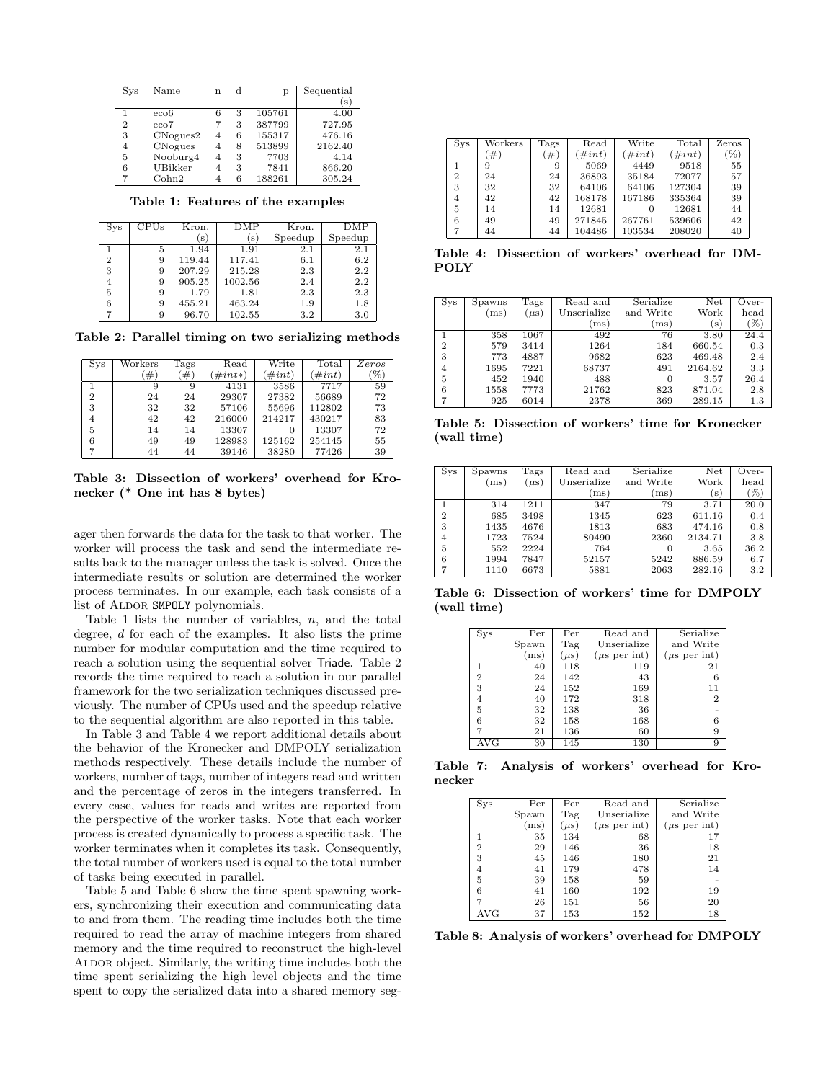| Sys            | Name           | n | d | р      | Sequential |
|----------------|----------------|---|---|--------|------------|
|                |                |   |   |        | 's`        |
|                | eco6           | 6 | 3 | 105761 | 4.00       |
| $\overline{2}$ | eco7           | 7 | 3 | 387799 | 727.95     |
| 3              | CNogues2       | 4 | 6 | 155317 | 476.16     |
| 4              | <b>CNogues</b> | 4 | 8 | 513899 | 2162.40    |
| 5              | Nooburg4       | 4 | 3 | 7703   | 4.14       |
| 6              | UBikker        | 4 | 3 | 7841   | 866.20     |
|                | Cohn2          | 4 | 6 | 188261 | 305.24     |

Table 1: Features of the examples

| <b>Sys</b>     | CPUs | Kron.  | DMP       | Kron.   | DMP     |
|----------------|------|--------|-----------|---------|---------|
|                |      | (s)    | $\bf (s)$ | Speedup | Speedup |
|                | 5    | 1.94   | 1.91      | 2.1     | 2.1     |
| $\overline{2}$ | 9    | 119.44 | 117.41    | 6.1     | 6.2     |
| 3              | 9    | 207.29 | 215.28    | 2.3     | 2.2     |
| 4              | 9    | 905.25 | 1002.56   | 2.4     | 2.2     |
| 5              | 9    | 1.79   | 1.81      | 2.3     | 2.3     |
| 6              | 9    | 455.21 | 463.24    | 1.9     | 1.8     |
|                |      | 96.70  | 102.55    | 3.2     | 3.0     |

Table 2: Parallel timing on two serializing methods

| <b>Sys</b>     | Workers | Tags | Read              | Write   | Total   | Zeros |
|----------------|---------|------|-------------------|---------|---------|-------|
|                | #)      | #)   | $(\#int*)$        | $\#int$ | $\#int$ | (%)   |
|                | 9       | 9    | $\overline{4131}$ | 3586    | 7717    | 59    |
| $\overline{2}$ | 24      | 24   | 29307             | 27382   | 56689   | 72    |
| 3              | 32      | 32   | 57106             | 55696   | 112802  | 73    |
| 4              | 42      | 42   | 216000            | 214217  | 430217  | 83    |
| 5              | 14      | 14   | 13307             |         | 13307   | 72    |
| 6              | 49      | 49   | 128983            | 125162  | 254145  | 55    |
|                | 44      | 44   | 39146             | 38280   | 77426   | 39    |

Table 3: Dissection of workers' overhead for Kronecker (\* One int has 8 bytes)

ager then forwards the data for the task to that worker. The worker will process the task and send the intermediate results back to the manager unless the task is solved. Once the intermediate results or solution are determined the worker process terminates. In our example, each task consists of a list of ALDOR SMPOLY polynomials.

Table 1 lists the number of variables,  $n$ , and the total degree, d for each of the examples. It also lists the prime number for modular computation and the time required to reach a solution using the sequential solver Triade. Table 2 records the time required to reach a solution in our parallel framework for the two serialization techniques discussed previously. The number of CPUs used and the speedup relative to the sequential algorithm are also reported in this table.

In Table 3 and Table 4 we report additional details about the behavior of the Kronecker and DMPOLY serialization methods respectively. These details include the number of workers, number of tags, number of integers read and written and the percentage of zeros in the integers transferred. In every case, values for reads and writes are reported from the perspective of the worker tasks. Note that each worker process is created dynamically to process a specific task. The worker terminates when it completes its task. Consequently, the total number of workers used is equal to the total number of tasks being executed in parallel.

Table 5 and Table 6 show the time spent spawning workers, synchronizing their execution and communicating data to and from them. The reading time includes both the time required to read the array of machine integers from shared memory and the time required to reconstruct the high-level ALDOR object. Similarly, the writing time includes both the time spent serializing the high level objects and the time spent to copy the serialized data into a shared memory seg-

| $S_{YS}$       | Workers | Tags | Read    | Write   | Total   | <b>Zeros</b> |
|----------------|---------|------|---------|---------|---------|--------------|
|                | #       | #)   | $\#int$ | $\#int$ | $\#int$ | (%)          |
|                | 9       | 9    | 5069    | 4449    | 9518    | 55           |
| $\overline{2}$ | 24      | 24   | 36893   | 35184   | 72077   | 57           |
| 3              | 32      | 32   | 64106   | 64106   | 127304  | 39           |
| 4              | 42      | 42   | 168178  | 167186  | 335364  | 39           |
| 5              | 14      | 14   | 12681   | 0       | 12681   | 44           |
| 6              | 49      | 49   | 271845  | 267761  | 539606  | 42           |
|                | 44      | 44   | 104486  | 103534  | 208020  | 40           |

Table 4: Dissection of workers' overhead for DM-POLY

| $S_{YS}$       | Spawns | $\rm~Tags$ | Read and    | Serialize | Net     | Over-         |
|----------------|--------|------------|-------------|-----------|---------|---------------|
|                | (ms)   | $(\mu s)$  | Unserialize | and Write | Work    | head          |
|                |        |            | (ms)        | (ms)      | 's)     | $\frac{1}{2}$ |
|                | 358    | 1067       | 492         | 76        | 3.80    | 24.4          |
| $\overline{2}$ | 579    | 3414       | 1264        | 184       | 660.54  | 0.3           |
| 3              | 773    | 4887       | 9682        | 623       | 469.48  | 2.4           |
| $\overline{4}$ | 1695   | 7221       | 68737       | 491       | 2164.62 | 3.3           |
| 5              | 452    | 1940       | 488         | 0         | 3.57    | 26.4          |
| 6              | 1558   | 7773       | 21762       | 823       | 871.04  | 2.8           |
| 7              | 925    | 6014       | 2378        | 369       | 289.15  | 1.3           |

Table 5: Dissection of workers' time for Kronecker (wall time)

| $S_{\rm{ys}}$  | Spawns | $\rm{Tags}$ | Read and    | Serialize  | Net            | Over-  |
|----------------|--------|-------------|-------------|------------|----------------|--------|
|                | (ms)   | $(\mu s)$   | Unserialize | and Write  | Work           | head   |
|                |        |             | (ms)        | $\rm (ms)$ | $(\mathbf{s})$ | $(\%)$ |
|                | 314    | 1211        | 347         | 79         | 3.71           | 20.0   |
| $\overline{2}$ | 685    | 3498        | 1345        | 623        | 611.16         | 0.4    |
| 3              | 1435   | 4676        | 1813        | 683        | 474.16         | 0.8    |
| $\overline{4}$ | 1723   | 7524        | 80490       | 2360       | 2134.71        | 3.8    |
| 5              | 552    | 2224        | 764         | 0          | 3.65           | 36.2   |
| 6              | 1994   | 7847        | 52157       | 5242       | 886.59         | 6.7    |
| 7              | 1110   | 6673        | 5881        | 2063       | 282.16         | 3.2    |

Table 6: Dissection of workers' time for DMPOLY (wall time)

| $S_{YS}$             | Per   | Per       | Read and          | Serialize         |
|----------------------|-------|-----------|-------------------|-------------------|
|                      | Spawn | Tag       | Unserialize       | and Write         |
|                      | (ms)  | $(\mu s)$ | $(\mu s$ per int) | $(\mu s$ per int) |
|                      | 40    | 118       | 119               | 21                |
| 2                    | 24    | 142       | 43                | 6                 |
| 3                    | 24    | 152       | 169               | 11                |
| 4                    | 40    | 172       | 318               | $\overline{2}$    |
| 5                    | 32    | 138       | 36                |                   |
| 6                    | 32    | 158       | 168               | 6                 |
|                      | 21    | 136       | 60                | 9                 |
| $\operatorname{AVG}$ | 30    | 145       | 130               | 9                 |

Table 7: Analysis of workers' overhead for Kronecker

| $S_{\rm{YS}}$  | $_{\rm Per}$ | Per       | Read and          | Serialize         |
|----------------|--------------|-----------|-------------------|-------------------|
|                | Spawn        | Tag       | Unserialize       | and Write         |
|                | (ms)         | $(\mu s)$ | $(\mu s$ per int) | $(\mu s$ per int) |
|                | 35           | 134       | 68                | 17                |
| $\overline{2}$ | 29           | 146       | 36                | 18                |
| 3              | 45           | 146       | 180               | 21                |
| 4              | 41           | 179       | 478               | 14                |
| 5              | 39           | 158       | 59                |                   |
| 6              | 41           | 160       | 192               | 19                |
|                | 26           | 151       | 56                | 20                |
| AVG            | 37           | 153       | 152               | 18                |

Table 8: Analysis of workers' overhead for DMPOLY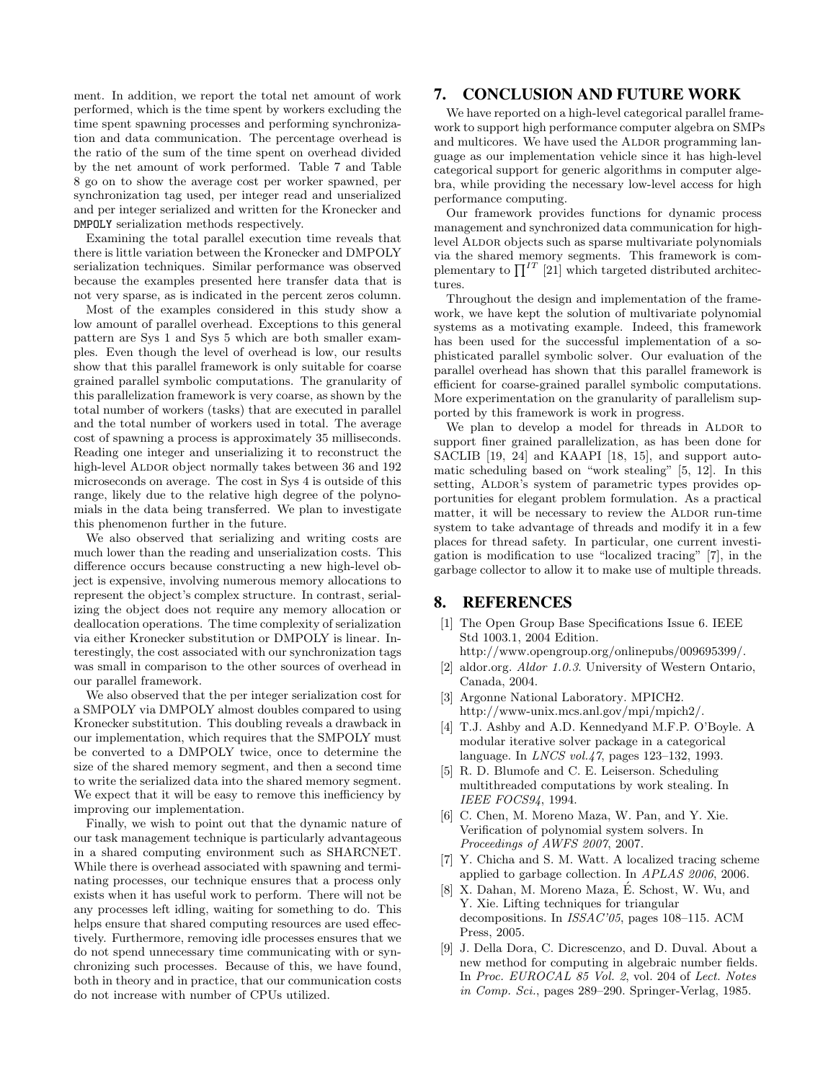ment. In addition, we report the total net amount of work performed, which is the time spent by workers excluding the time spent spawning processes and performing synchronization and data communication. The percentage overhead is the ratio of the sum of the time spent on overhead divided by the net amount of work performed. Table 7 and Table 8 go on to show the average cost per worker spawned, per synchronization tag used, per integer read and unserialized and per integer serialized and written for the Kronecker and DMPOLY serialization methods respectively.

Examining the total parallel execution time reveals that there is little variation between the Kronecker and DMPOLY serialization techniques. Similar performance was observed because the examples presented here transfer data that is not very sparse, as is indicated in the percent zeros column.

Most of the examples considered in this study show a low amount of parallel overhead. Exceptions to this general pattern are Sys 1 and Sys 5 which are both smaller examples. Even though the level of overhead is low, our results show that this parallel framework is only suitable for coarse grained parallel symbolic computations. The granularity of this parallelization framework is very coarse, as shown by the total number of workers (tasks) that are executed in parallel and the total number of workers used in total. The average cost of spawning a process is approximately 35 milliseconds. Reading one integer and unserializing it to reconstruct the high-level ALDOR object normally takes between 36 and 192 microseconds on average. The cost in Sys 4 is outside of this range, likely due to the relative high degree of the polynomials in the data being transferred. We plan to investigate this phenomenon further in the future.

We also observed that serializing and writing costs are much lower than the reading and unserialization costs. This difference occurs because constructing a new high-level object is expensive, involving numerous memory allocations to represent the object's complex structure. In contrast, serializing the object does not require any memory allocation or deallocation operations. The time complexity of serialization via either Kronecker substitution or DMPOLY is linear. Interestingly, the cost associated with our synchronization tags was small in comparison to the other sources of overhead in our parallel framework.

We also observed that the per integer serialization cost for a SMPOLY via DMPOLY almost doubles compared to using Kronecker substitution. This doubling reveals a drawback in our implementation, which requires that the SMPOLY must be converted to a DMPOLY twice, once to determine the size of the shared memory segment, and then a second time to write the serialized data into the shared memory segment. We expect that it will be easy to remove this inefficiency by improving our implementation.

Finally, we wish to point out that the dynamic nature of our task management technique is particularly advantageous in a shared computing environment such as SHARCNET. While there is overhead associated with spawning and terminating processes, our technique ensures that a process only exists when it has useful work to perform. There will not be any processes left idling, waiting for something to do. This helps ensure that shared computing resources are used effectively. Furthermore, removing idle processes ensures that we do not spend unnecessary time communicating with or synchronizing such processes. Because of this, we have found, both in theory and in practice, that our communication costs do not increase with number of CPUs utilized.

# 7. CONCLUSION AND FUTURE WORK

We have reported on a high-level categorical parallel framework to support high performance computer algebra on SMPs and multicores. We have used the ALDOR programming language as our implementation vehicle since it has high-level categorical support for generic algorithms in computer algebra, while providing the necessary low-level access for high performance computing.

Our framework provides functions for dynamic process management and synchronized data communication for highlevel ALDOR objects such as sparse multivariate polynomials via the shared memory segments. This framework is complementary to  $\prod^{IT}$  [21] which targeted distributed architectures.

Throughout the design and implementation of the framework, we have kept the solution of multivariate polynomial systems as a motivating example. Indeed, this framework has been used for the successful implementation of a sophisticated parallel symbolic solver. Our evaluation of the parallel overhead has shown that this parallel framework is efficient for coarse-grained parallel symbolic computations. More experimentation on the granularity of parallelism supported by this framework is work in progress.

We plan to develop a model for threads in ALDOR to support finer grained parallelization, as has been done for SACLIB [19, 24] and KAAPI [18, 15], and support automatic scheduling based on "work stealing" [5, 12]. In this setting, ALDOR's system of parametric types provides opportunities for elegant problem formulation. As a practical matter, it will be necessary to review the ALDOR run-time system to take advantage of threads and modify it in a few places for thread safety. In particular, one current investigation is modification to use "localized tracing" [7], in the garbage collector to allow it to make use of multiple threads.

# 8. REFERENCES

- [1] The Open Group Base Specifications Issue 6. IEEE Std 1003.1, 2004 Edition. http://www.opengroup.org/onlinepubs/009695399/.
- [2] aldor.org. Aldor 1.0.3. University of Western Ontario, Canada, 2004.
- [3] Argonne National Laboratory. MPICH2. http://www-unix.mcs.anl.gov/mpi/mpich2/.
- [4] T.J. Ashby and A.D. Kennedyand M.F.P. O'Boyle. A modular iterative solver package in a categorical language. In LNCS vol.47, pages 123–132, 1993.
- [5] R. D. Blumofe and C. E. Leiserson. Scheduling multithreaded computations by work stealing. In IEEE FOCS94, 1994.
- [6] C. Chen, M. Moreno Maza, W. Pan, and Y. Xie. Verification of polynomial system solvers. In Proceedings of AWFS 2007, 2007.
- [7] Y. Chicha and S. M. Watt. A localized tracing scheme applied to garbage collection. In APLAS 2006, 2006.
- [8] X. Dahan, M. Moreno Maza, E. Schost, W. Wu, and ´ Y. Xie. Lifting techniques for triangular decompositions. In ISSAC'05, pages 108–115. ACM Press, 2005.
- [9] J. Della Dora, C. Dicrescenzo, and D. Duval. About a new method for computing in algebraic number fields. In Proc. EUROCAL 85 Vol. 2, vol. 204 of Lect. Notes in Comp. Sci., pages 289–290. Springer-Verlag, 1985.